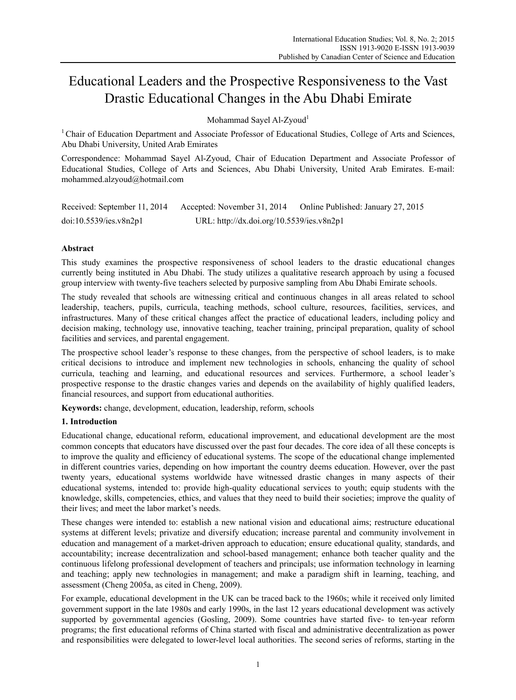# Educational Leaders and the Prospective Responsiveness to the Vast Drastic Educational Changes in the Abu Dhabi Emirate

Mohammad Sayel Al-Zyoud<sup>1</sup>

<sup>1</sup> Chair of Education Department and Associate Professor of Educational Studies, College of Arts and Sciences, Abu Dhabi University, United Arab Emirates

Correspondence: Mohammad Sayel Al-Zyoud, Chair of Education Department and Associate Professor of Educational Studies, College of Arts and Sciences, Abu Dhabi University, United Arab Emirates. E-mail: mohammed.alzyoud@hotmail.com

Received: September 11, 2014 Accepted: November 31, 2014 Online Published: January 27, 2015 doi:10.5539/ies.v8n2p1 URL: http://dx.doi.org/10.5539/ies.v8n2p1

# **Abstract**

This study examines the prospective responsiveness of school leaders to the drastic educational changes currently being instituted in Abu Dhabi. The study utilizes a qualitative research approach by using a focused group interview with twenty-five teachers selected by purposive sampling from Abu Dhabi Emirate schools.

The study revealed that schools are witnessing critical and continuous changes in all areas related to school leadership, teachers, pupils, curricula, teaching methods, school culture, resources, facilities, services, and infrastructures. Many of these critical changes affect the practice of educational leaders, including policy and decision making, technology use, innovative teaching, teacher training, principal preparation, quality of school facilities and services, and parental engagement.

The prospective school leader's response to these changes, from the perspective of school leaders, is to make critical decisions to introduce and implement new technologies in schools, enhancing the quality of school curricula, teaching and learning, and educational resources and services. Furthermore, a school leader's prospective response to the drastic changes varies and depends on the availability of highly qualified leaders, financial resources, and support from educational authorities.

**Keywords:** change, development, education, leadership, reform, schools

# **1. Introduction**

Educational change, educational reform, educational improvement, and educational development are the most common concepts that educators have discussed over the past four decades. The core idea of all these concepts is to improve the quality and efficiency of educational systems. The scope of the educational change implemented in different countries varies, depending on how important the country deems education. However, over the past twenty years, educational systems worldwide have witnessed drastic changes in many aspects of their educational systems, intended to: provide high-quality educational services to youth; equip students with the knowledge, skills, competencies, ethics, and values that they need to build their societies; improve the quality of their lives; and meet the labor market's needs.

These changes were intended to: establish a new national vision and educational aims; restructure educational systems at different levels; privatize and diversify education; increase parental and community involvement in education and management of a market-driven approach to education; ensure educational quality, standards, and accountability; increase decentralization and school-based management; enhance both teacher quality and the continuous lifelong professional development of teachers and principals; use information technology in learning and teaching; apply new technologies in management; and make a paradigm shift in learning, teaching, and assessment (Cheng 2005a, as cited in Cheng, 2009).

For example, educational development in the UK can be traced back to the 1960s; while it received only limited government support in the late 1980s and early 1990s, in the last 12 years educational development was actively supported by governmental agencies (Gosling, 2009). Some countries have started five- to ten-year reform programs; the first educational reforms of China started with fiscal and administrative decentralization as power and responsibilities were delegated to lower-level local authorities. The second series of reforms, starting in the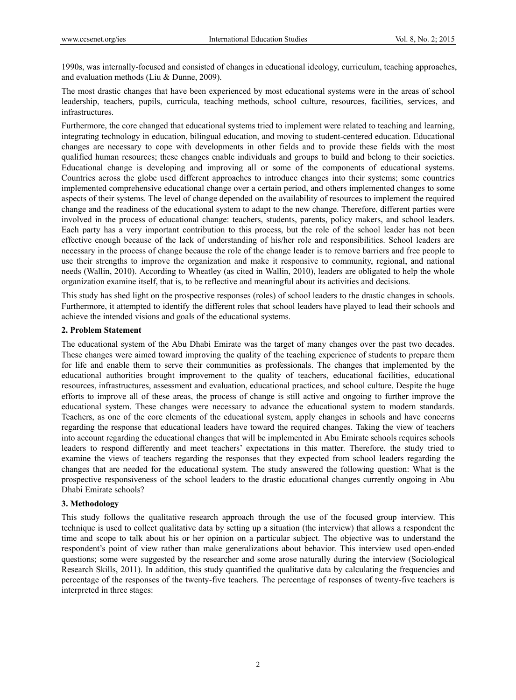1990s, was internally-focused and consisted of changes in educational ideology, curriculum, teaching approaches, and evaluation methods (Liu & Dunne, 2009).

The most drastic changes that have been experienced by most educational systems were in the areas of school leadership, teachers, pupils, curricula, teaching methods, school culture, resources, facilities, services, and infrastructures.

Furthermore, the core changed that educational systems tried to implement were related to teaching and learning, integrating technology in education, bilingual education, and moving to student-centered education. Educational changes are necessary to cope with developments in other fields and to provide these fields with the most qualified human resources; these changes enable individuals and groups to build and belong to their societies. Educational change is developing and improving all or some of the components of educational systems. Countries across the globe used different approaches to introduce changes into their systems; some countries implemented comprehensive educational change over a certain period, and others implemented changes to some aspects of their systems. The level of change depended on the availability of resources to implement the required change and the readiness of the educational system to adapt to the new change. Therefore, different parties were involved in the process of educational change: teachers, students, parents, policy makers, and school leaders. Each party has a very important contribution to this process, but the role of the school leader has not been effective enough because of the lack of understanding of his/her role and responsibilities. School leaders are necessary in the process of change because the role of the change leader is to remove barriers and free people to use their strengths to improve the organization and make it responsive to community, regional, and national needs (Wallin, 2010). According to Wheatley (as cited in Wallin, 2010), leaders are obligated to help the whole organization examine itself, that is, to be reflective and meaningful about its activities and decisions.

This study has shed light on the prospective responses (roles) of school leaders to the drastic changes in schools. Furthermore, it attempted to identify the different roles that school leaders have played to lead their schools and achieve the intended visions and goals of the educational systems.

### **2. Problem Statement**

The educational system of the Abu Dhabi Emirate was the target of many changes over the past two decades. These changes were aimed toward improving the quality of the teaching experience of students to prepare them for life and enable them to serve their communities as professionals. The changes that implemented by the educational authorities brought improvement to the quality of teachers, educational facilities, educational resources, infrastructures, assessment and evaluation, educational practices, and school culture. Despite the huge efforts to improve all of these areas, the process of change is still active and ongoing to further improve the educational system. These changes were necessary to advance the educational system to modern standards. Teachers, as one of the core elements of the educational system, apply changes in schools and have concerns regarding the response that educational leaders have toward the required changes. Taking the view of teachers into account regarding the educational changes that will be implemented in Abu Emirate schools requires schools leaders to respond differently and meet teachers' expectations in this matter. Therefore, the study tried to examine the views of teachers regarding the responses that they expected from school leaders regarding the changes that are needed for the educational system. The study answered the following question: What is the prospective responsiveness of the school leaders to the drastic educational changes currently ongoing in Abu Dhabi Emirate schools?

### **3. Methodology**

This study follows the qualitative research approach through the use of the focused group interview. This technique is used to collect qualitative data by setting up a situation (the interview) that allows a respondent the time and scope to talk about his or her opinion on a particular subject. The objective was to understand the respondent's point of view rather than make generalizations about behavior. This interview used open-ended questions; some were suggested by the researcher and some arose naturally during the interview (Sociological Research Skills, 2011). In addition, this study quantified the qualitative data by calculating the frequencies and percentage of the responses of the twenty-five teachers. The percentage of responses of twenty-five teachers is interpreted in three stages: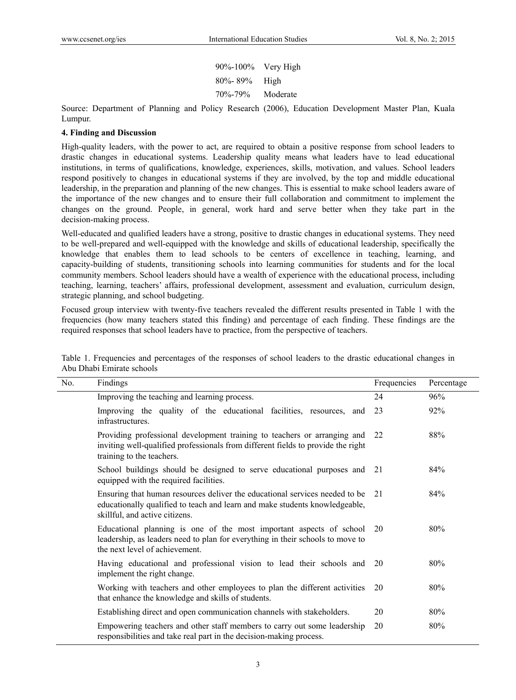90%-100% Very High 80%- 89% High 70%-79% Moderate

Source: Department of Planning and Policy Research (2006), Education Development Master Plan, Kuala Lumpur.

## **4. Finding and Discussion**

High-quality leaders, with the power to act, are required to obtain a positive response from school leaders to drastic changes in educational systems. Leadership quality means what leaders have to lead educational institutions, in terms of qualifications, knowledge, experiences, skills, motivation, and values. School leaders respond positively to changes in educational systems if they are involved, by the top and middle educational leadership, in the preparation and planning of the new changes. This is essential to make school leaders aware of the importance of the new changes and to ensure their full collaboration and commitment to implement the changes on the ground. People, in general, work hard and serve better when they take part in the decision-making process.

Well-educated and qualified leaders have a strong, positive to drastic changes in educational systems. They need to be well-prepared and well-equipped with the knowledge and skills of educational leadership, specifically the knowledge that enables them to lead schools to be centers of excellence in teaching, learning, and capacity-building of students, transitioning schools into learning communities for students and for the local community members. School leaders should have a wealth of experience with the educational process, including teaching, learning, teachers' affairs, professional development, assessment and evaluation, curriculum design, strategic planning, and school budgeting.

Focused group interview with twenty-five teachers revealed the different results presented in Table 1 with the frequencies (how many teachers stated this finding) and percentage of each finding. These findings are the required responses that school leaders have to practice, from the perspective of teachers.

| Table 1. Frequencies and percentages of the responses of school leaders to the drastic educational changes in |  |  |  |  |  |
|---------------------------------------------------------------------------------------------------------------|--|--|--|--|--|
| Abu Dhabi Emirate schools                                                                                     |  |  |  |  |  |

| No. | Findings                                                                                                                                                                                     | Frequencies | Percentage |
|-----|----------------------------------------------------------------------------------------------------------------------------------------------------------------------------------------------|-------------|------------|
|     | Improving the teaching and learning process.                                                                                                                                                 | 24          | 96%        |
|     | Improving the quality of the educational facilities, resources, and<br>infrastructures.                                                                                                      | -23         | 92%        |
|     | Providing professional development training to teachers or arranging and<br>inviting well-qualified professionals from different fields to provide the right<br>training to the teachers.    | 22          | 88%        |
|     | School buildings should be designed to serve educational purposes and 21<br>equipped with the required facilities.                                                                           |             | 84%        |
|     | Ensuring that human resources deliver the educational services needed to be<br>educationally qualified to teach and learn and make students knowledgeable,<br>skillful, and active citizens. | 21          | 84%        |
|     | Educational planning is one of the most important aspects of school<br>leadership, as leaders need to plan for everything in their schools to move to<br>the next level of achievement.      | 20          | 80%        |
|     | Having educational and professional vision to lead their schools and 20<br>implement the right change.                                                                                       |             | 80%        |
|     | Working with teachers and other employees to plan the different activities 20<br>that enhance the knowledge and skills of students.                                                          |             | 80%        |
|     | Establishing direct and open communication channels with stakeholders.                                                                                                                       | 20          | 80%        |
|     | Empowering teachers and other staff members to carry out some leadership<br>responsibilities and take real part in the decision-making process.                                              | 20          | 80%        |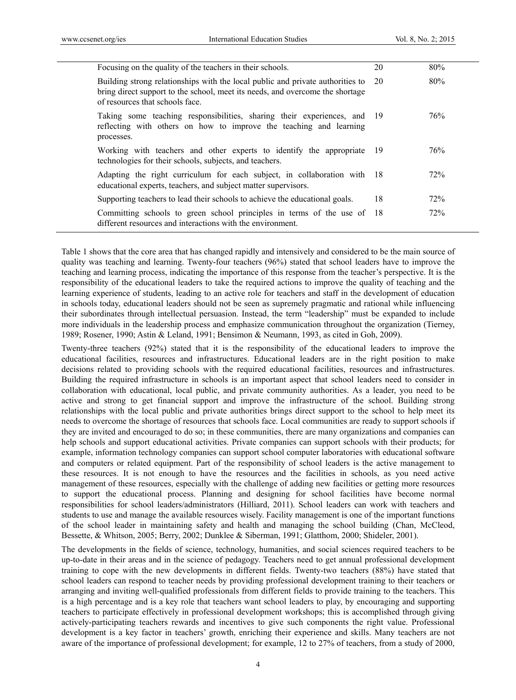| Focusing on the quality of the teachers in their schools.                                                                                                                                          | 20 | 80% |
|----------------------------------------------------------------------------------------------------------------------------------------------------------------------------------------------------|----|-----|
| Building strong relationships with the local public and private authorities to<br>bring direct support to the school, meet its needs, and overcome the shortage<br>of resources that schools face. | 20 | 80% |
| Taking some teaching responsibilities, sharing their experiences, and 19<br>reflecting with others on how to improve the teaching and learning<br>processes.                                       |    | 76% |
| Working with teachers and other experts to identify the appropriate 19<br>technologies for their schools, subjects, and teachers.                                                                  |    | 76% |
| Adapting the right curriculum for each subject, in collaboration with 18<br>educational experts, teachers, and subject matter supervisors.                                                         |    | 72% |
| Supporting teachers to lead their schools to achieve the educational goals.                                                                                                                        | 18 | 72% |
| Committing schools to green school principles in terms of the use of 18<br>different resources and interactions with the environment.                                                              |    | 72% |

Table 1 shows that the core area that has changed rapidly and intensively and considered to be the main source of quality was teaching and learning. Twenty-four teachers (96%) stated that school leaders have to improve the teaching and learning process, indicating the importance of this response from the teacher's perspective. It is the responsibility of the educational leaders to take the required actions to improve the quality of teaching and the learning experience of students, leading to an active role for teachers and staff in the development of education in schools today, educational leaders should not be seen as supremely pragmatic and rational while influencing their subordinates through intellectual persuasion. Instead, the term "leadership" must be expanded to include more individuals in the leadership process and emphasize communication throughout the organization (Tierney, 1989; Rosener, 1990; Astin & Leland, 1991; Bensimon & Neumann, 1993, as cited in Goh, 2009).

Twenty-three teachers (92%) stated that it is the responsibility of the educational leaders to improve the educational facilities, resources and infrastructures. Educational leaders are in the right position to make decisions related to providing schools with the required educational facilities, resources and infrastructures. Building the required infrastructure in schools is an important aspect that school leaders need to consider in collaboration with educational, local public, and private community authorities. As a leader, you need to be active and strong to get financial support and improve the infrastructure of the school. Building strong relationships with the local public and private authorities brings direct support to the school to help meet its needs to overcome the shortage of resources that schools face. Local communities are ready to support schools if they are invited and encouraged to do so; in these communities, there are many organizations and companies can help schools and support educational activities. Private companies can support schools with their products; for example, information technology companies can support school computer laboratories with educational software and computers or related equipment. Part of the responsibility of school leaders is the active management to these resources. It is not enough to have the resources and the facilities in schools, as you need active management of these resources, especially with the challenge of adding new facilities or getting more resources to support the educational process. Planning and designing for school facilities have become normal responsibilities for school leaders/administrators (Hilliard, 2011). School leaders can work with teachers and students to use and manage the available resources wisely. Facility management is one of the important functions of the school leader in maintaining safety and health and managing the school building (Chan, McCleod, Bessette, & Whitson, 2005; Berry, 2002; Dunklee & Siberman, 1991; Glatthom, 2000; Shideler, 2001).

The developments in the fields of science, technology, humanities, and social sciences required teachers to be up-to-date in their areas and in the science of pedagogy. Teachers need to get annual professional development training to cope with the new developments in different fields. Twenty-two teachers (88%) have stated that school leaders can respond to teacher needs by providing professional development training to their teachers or arranging and inviting well-qualified professionals from different fields to provide training to the teachers. This is a high percentage and is a key role that teachers want school leaders to play, by encouraging and supporting teachers to participate effectively in professional development workshops; this is accomplished through giving actively-participating teachers rewards and incentives to give such components the right value. Professional development is a key factor in teachers' growth, enriching their experience and skills. Many teachers are not aware of the importance of professional development; for example, 12 to 27% of teachers, from a study of 2000,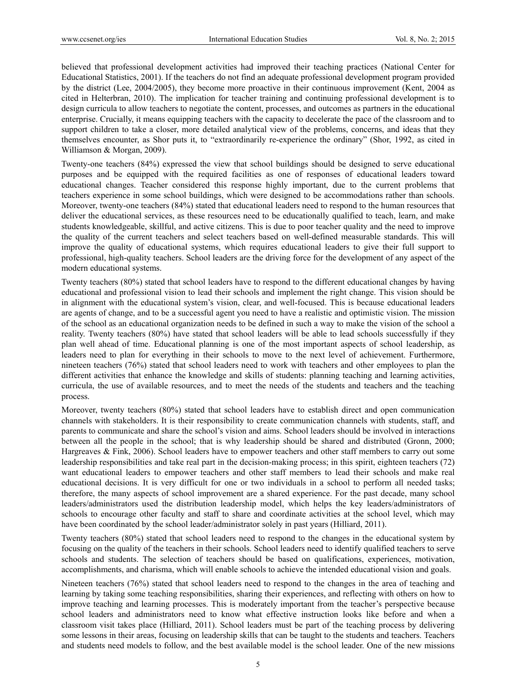believed that professional development activities had improved their teaching practices (National Center for Educational Statistics, 2001). If the teachers do not find an adequate professional development program provided by the district (Lee, 2004/2005), they become more proactive in their continuous improvement (Kent, 2004 as cited in Helterbran, 2010). The implication for teacher training and continuing professional development is to design curricula to allow teachers to negotiate the content, processes, and outcomes as partners in the educational enterprise. Crucially, it means equipping teachers with the capacity to decelerate the pace of the classroom and to support children to take a closer, more detailed analytical view of the problems, concerns, and ideas that they themselves encounter, as Shor puts it, to "extraordinarily re-experience the ordinary" (Shor, 1992, as cited in Williamson & Morgan, 2009).

Twenty-one teachers (84%) expressed the view that school buildings should be designed to serve educational purposes and be equipped with the required facilities as one of responses of educational leaders toward educational changes. Teacher considered this response highly important, due to the current problems that teachers experience in some school buildings, which were designed to be accommodations rather than schools. Moreover, twenty-one teachers (84%) stated that educational leaders need to respond to the human resources that deliver the educational services, as these resources need to be educationally qualified to teach, learn, and make students knowledgeable, skillful, and active citizens. This is due to poor teacher quality and the need to improve the quality of the current teachers and select teachers based on well-defined measurable standards. This will improve the quality of educational systems, which requires educational leaders to give their full support to professional, high-quality teachers. School leaders are the driving force for the development of any aspect of the modern educational systems.

Twenty teachers (80%) stated that school leaders have to respond to the different educational changes by having educational and professional vision to lead their schools and implement the right change. This vision should be in alignment with the educational system's vision, clear, and well-focused. This is because educational leaders are agents of change, and to be a successful agent you need to have a realistic and optimistic vision. The mission of the school as an educational organization needs to be defined in such a way to make the vision of the school a reality. Twenty teachers (80%) have stated that school leaders will be able to lead schools successfully if they plan well ahead of time. Educational planning is one of the most important aspects of school leadership, as leaders need to plan for everything in their schools to move to the next level of achievement. Furthermore, nineteen teachers (76%) stated that school leaders need to work with teachers and other employees to plan the different activities that enhance the knowledge and skills of students: planning teaching and learning activities, curricula, the use of available resources, and to meet the needs of the students and teachers and the teaching process.

Moreover, twenty teachers (80%) stated that school leaders have to establish direct and open communication channels with stakeholders. It is their responsibility to create communication channels with students, staff, and parents to communicate and share the school's vision and aims. School leaders should be involved in interactions between all the people in the school; that is why leadership should be shared and distributed (Gronn, 2000; Hargreaves & Fink, 2006). School leaders have to empower teachers and other staff members to carry out some leadership responsibilities and take real part in the decision-making process; in this spirit, eighteen teachers (72) want educational leaders to empower teachers and other staff members to lead their schools and make real educational decisions. It is very difficult for one or two individuals in a school to perform all needed tasks; therefore, the many aspects of school improvement are a shared experience. For the past decade, many school leaders/administrators used the distribution leadership model, which helps the key leaders/administrators of schools to encourage other faculty and staff to share and coordinate activities at the school level, which may have been coordinated by the school leader/administrator solely in past years (Hilliard, 2011).

Twenty teachers (80%) stated that school leaders need to respond to the changes in the educational system by focusing on the quality of the teachers in their schools. School leaders need to identify qualified teachers to serve schools and students. The selection of teachers should be based on qualifications, experiences, motivation, accomplishments, and charisma, which will enable schools to achieve the intended educational vision and goals.

Nineteen teachers (76%) stated that school leaders need to respond to the changes in the area of teaching and learning by taking some teaching responsibilities, sharing their experiences, and reflecting with others on how to improve teaching and learning processes. This is moderately important from the teacher's perspective because school leaders and administrators need to know what effective instruction looks like before and when a classroom visit takes place (Hilliard, 2011). School leaders must be part of the teaching process by delivering some lessons in their areas, focusing on leadership skills that can be taught to the students and teachers. Teachers and students need models to follow, and the best available model is the school leader. One of the new missions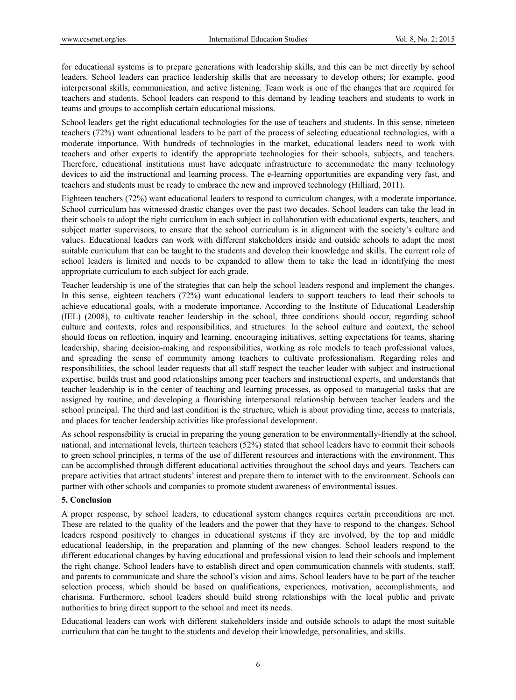for educational systems is to prepare generations with leadership skills, and this can be met directly by school leaders. School leaders can practice leadership skills that are necessary to develop others; for example, good interpersonal skills, communication, and active listening. Team work is one of the changes that are required for teachers and students. School leaders can respond to this demand by leading teachers and students to work in teams and groups to accomplish certain educational missions.

School leaders get the right educational technologies for the use of teachers and students. In this sense, nineteen teachers (72%) want educational leaders to be part of the process of selecting educational technologies, with a moderate importance. With hundreds of technologies in the market, educational leaders need to work with teachers and other experts to identify the appropriate technologies for their schools, subjects, and teachers. Therefore, educational institutions must have adequate infrastructure to accommodate the many technology devices to aid the instructional and learning process. The e-learning opportunities are expanding very fast, and teachers and students must be ready to embrace the new and improved technology (Hilliard, 2011).

Eighteen teachers (72%) want educational leaders to respond to curriculum changes, with a moderate importance. School curriculum has witnessed drastic changes over the past two decades. School leaders can take the lead in their schools to adopt the right curriculum in each subject in collaboration with educational experts, teachers, and subject matter supervisors, to ensure that the school curriculum is in alignment with the society's culture and values. Educational leaders can work with different stakeholders inside and outside schools to adapt the most suitable curriculum that can be taught to the students and develop their knowledge and skills. The current role of school leaders is limited and needs to be expanded to allow them to take the lead in identifying the most appropriate curriculum to each subject for each grade.

Teacher leadership is one of the strategies that can help the school leaders respond and implement the changes. In this sense, eighteen teachers (72%) want educational leaders to support teachers to lead their schools to achieve educational goals, with a moderate importance. According to the Institute of Educational Leadership (IEL) (2008), to cultivate teacher leadership in the school, three conditions should occur, regarding school culture and contexts, roles and responsibilities, and structures. In the school culture and context, the school should focus on reflection, inquiry and learning, encouraging initiatives, setting expectations for teams, sharing leadership, sharing decision-making and responsibilities, working as role models to teach professional values, and spreading the sense of community among teachers to cultivate professionalism. Regarding roles and responsibilities, the school leader requests that all staff respect the teacher leader with subject and instructional expertise, builds trust and good relationships among peer teachers and instructional experts, and understands that teacher leadership is in the center of teaching and learning processes, as opposed to managerial tasks that are assigned by routine, and developing a flourishing interpersonal relationship between teacher leaders and the school principal. The third and last condition is the structure, which is about providing time, access to materials, and places for teacher leadership activities like professional development.

As school responsibility is crucial in preparing the young generation to be environmentally-friendly at the school, national, and international levels, thirteen teachers (52%) stated that school leaders have to commit their schools to green school principles, n terms of the use of different resources and interactions with the environment. This can be accomplished through different educational activities throughout the school days and years. Teachers can prepare activities that attract students' interest and prepare them to interact with to the environment. Schools can partner with other schools and companies to promote student awareness of environmental issues.

### **5. Conclusion**

A proper response, by school leaders, to educational system changes requires certain preconditions are met. These are related to the quality of the leaders and the power that they have to respond to the changes. School leaders respond positively to changes in educational systems if they are involved, by the top and middle educational leadership, in the preparation and planning of the new changes. School leaders respond to the different educational changes by having educational and professional vision to lead their schools and implement the right change. School leaders have to establish direct and open communication channels with students, staff, and parents to communicate and share the school's vision and aims. School leaders have to be part of the teacher selection process, which should be based on qualifications, experiences, motivation, accomplishments, and charisma. Furthermore, school leaders should build strong relationships with the local public and private authorities to bring direct support to the school and meet its needs.

Educational leaders can work with different stakeholders inside and outside schools to adapt the most suitable curriculum that can be taught to the students and develop their knowledge, personalities, and skills.